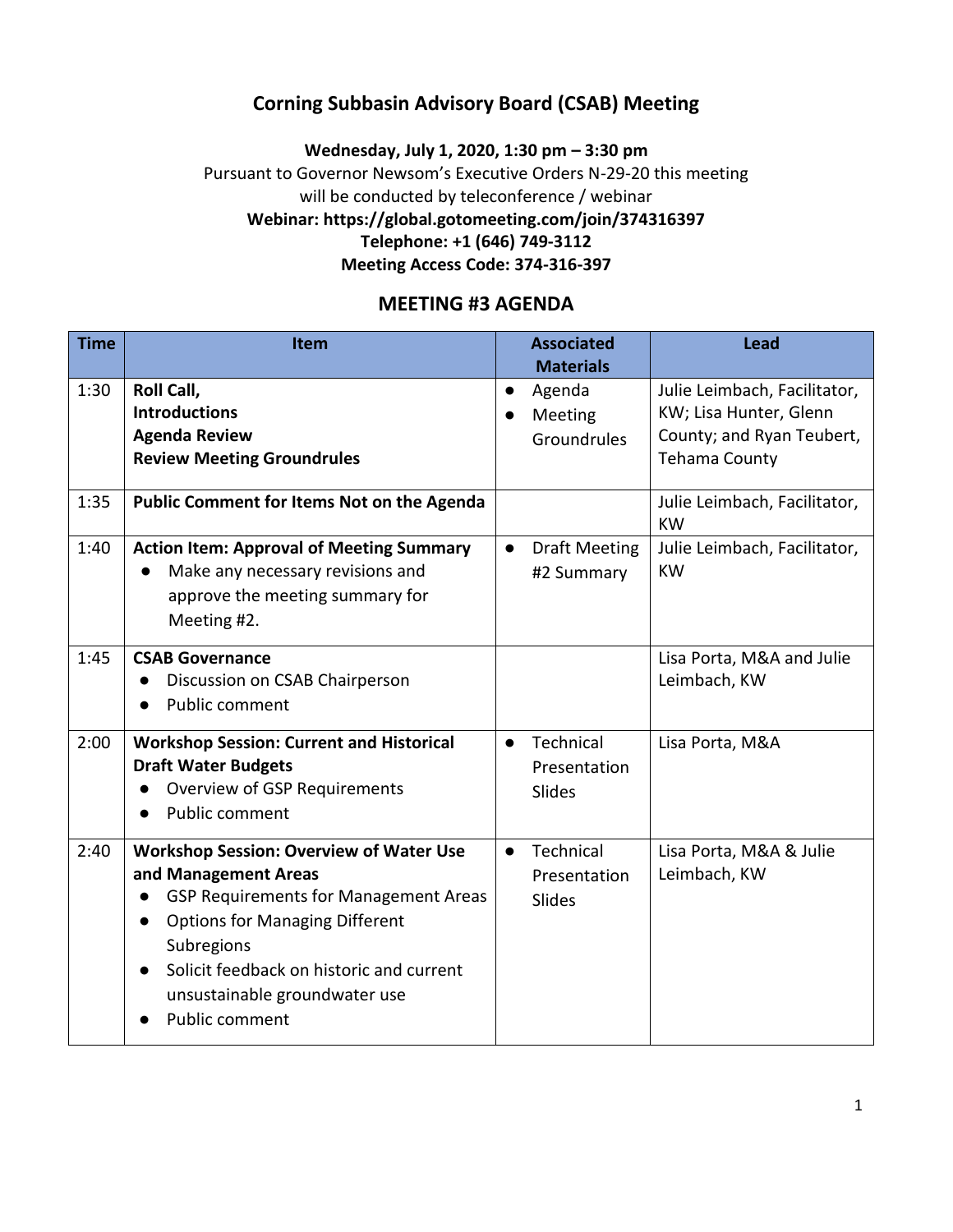### **Corning Subbasin Advisory Board (CSAB) Meeting**

#### **Wednesday, July 1, 2020, 1:30 pm – 3:30 pm** Pursuant to Governor Newsom's Executive Orders N-29-20 this meeting will be conducted by teleconference / webinar **Webinar: https://global.gotomeeting.com/join/374316397 Telephone: +1 (646) 749-3112 Meeting Access Code: 374-316-397**

### **MEETING #3 AGENDA**

| <b>Time</b> | Item                                                                                                                                                                                                                                                                                                   | <b>Associated</b><br><b>Materials</b>            | <b>Lead</b>                                                                                          |
|-------------|--------------------------------------------------------------------------------------------------------------------------------------------------------------------------------------------------------------------------------------------------------------------------------------------------------|--------------------------------------------------|------------------------------------------------------------------------------------------------------|
| 1:30        | <b>Roll Call,</b><br><b>Introductions</b><br><b>Agenda Review</b><br><b>Review Meeting Groundrules</b>                                                                                                                                                                                                 | Agenda<br>$\bullet$<br>Meeting<br>Groundrules    | Julie Leimbach, Facilitator,<br>KW; Lisa Hunter, Glenn<br>County; and Ryan Teubert,<br>Tehama County |
| 1:35        | Public Comment for Items Not on the Agenda                                                                                                                                                                                                                                                             |                                                  | Julie Leimbach, Facilitator,<br><b>KW</b>                                                            |
| 1:40        | <b>Action Item: Approval of Meeting Summary</b><br>Make any necessary revisions and<br>$\bullet$<br>approve the meeting summary for<br>Meeting #2.                                                                                                                                                     | <b>Draft Meeting</b><br>$\bullet$<br>#2 Summary  | Julie Leimbach, Facilitator,<br><b>KW</b>                                                            |
| 1:45        | <b>CSAB Governance</b><br>Discussion on CSAB Chairperson<br>Public comment<br>$\bullet$                                                                                                                                                                                                                |                                                  | Lisa Porta, M&A and Julie<br>Leimbach, KW                                                            |
| 2:00        | <b>Workshop Session: Current and Historical</b><br><b>Draft Water Budgets</b><br>Overview of GSP Requirements<br>Public comment                                                                                                                                                                        | Technical<br>$\bullet$<br>Presentation<br>Slides | Lisa Porta, M&A                                                                                      |
| 2:40        | <b>Workshop Session: Overview of Water Use</b><br>and Management Areas<br><b>GSP Requirements for Management Areas</b><br><b>Options for Managing Different</b><br>$\bullet$<br>Subregions<br>Solicit feedback on historic and current<br>$\bullet$<br>unsustainable groundwater use<br>Public comment | Technical<br>$\bullet$<br>Presentation<br>Slides | Lisa Porta, M&A & Julie<br>Leimbach, KW                                                              |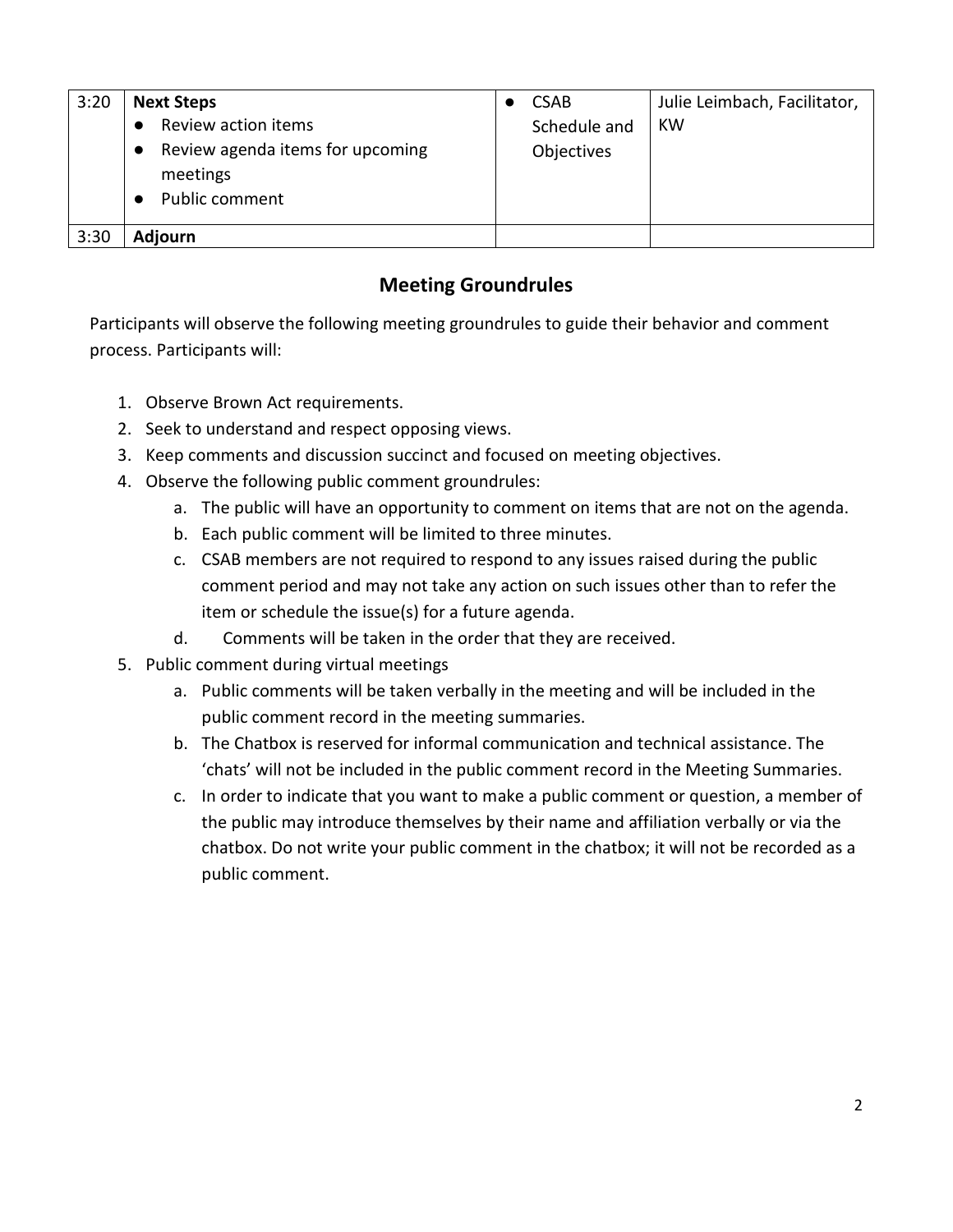| 3:20 | <b>Next Steps</b><br>Review action items<br>Review agenda items for upcoming<br>$\bullet$<br>meetings<br>Public comment | <b>CSAB</b><br>Schedule and<br>Objectives | Julie Leimbach, Facilitator,<br>KW |
|------|-------------------------------------------------------------------------------------------------------------------------|-------------------------------------------|------------------------------------|
|      |                                                                                                                         |                                           |                                    |
| 3:30 | <b>Adjourn</b>                                                                                                          |                                           |                                    |

# **Meeting Groundrules**

Participants will observe the following meeting groundrules to guide their behavior and comment process. Participants will:

- 1. Observe Brown Act requirements.
- 2. Seek to understand and respect opposing views.
- 3. Keep comments and discussion succinct and focused on meeting objectives.
- 4. Observe the following public comment groundrules:
	- a. The public will have an opportunity to comment on items that are not on the agenda.
	- b. Each public comment will be limited to three minutes.
	- c. CSAB members are not required to respond to any issues raised during the public comment period and may not take any action on such issues other than to refer the item or schedule the issue(s) for a future agenda.
	- d. Comments will be taken in the order that they are received.
- 5. Public comment during virtual meetings
	- a. Public comments will be taken verbally in the meeting and will be included in the public comment record in the meeting summaries.
	- b. The Chatbox is reserved for informal communication and technical assistance. The 'chats' will not be included in the public comment record in the Meeting Summaries.
	- c. In order to indicate that you want to make a public comment or question, a member of the public may introduce themselves by their name and affiliation verbally or via the chatbox. Do not write your public comment in the chatbox; it will not be recorded as a public comment.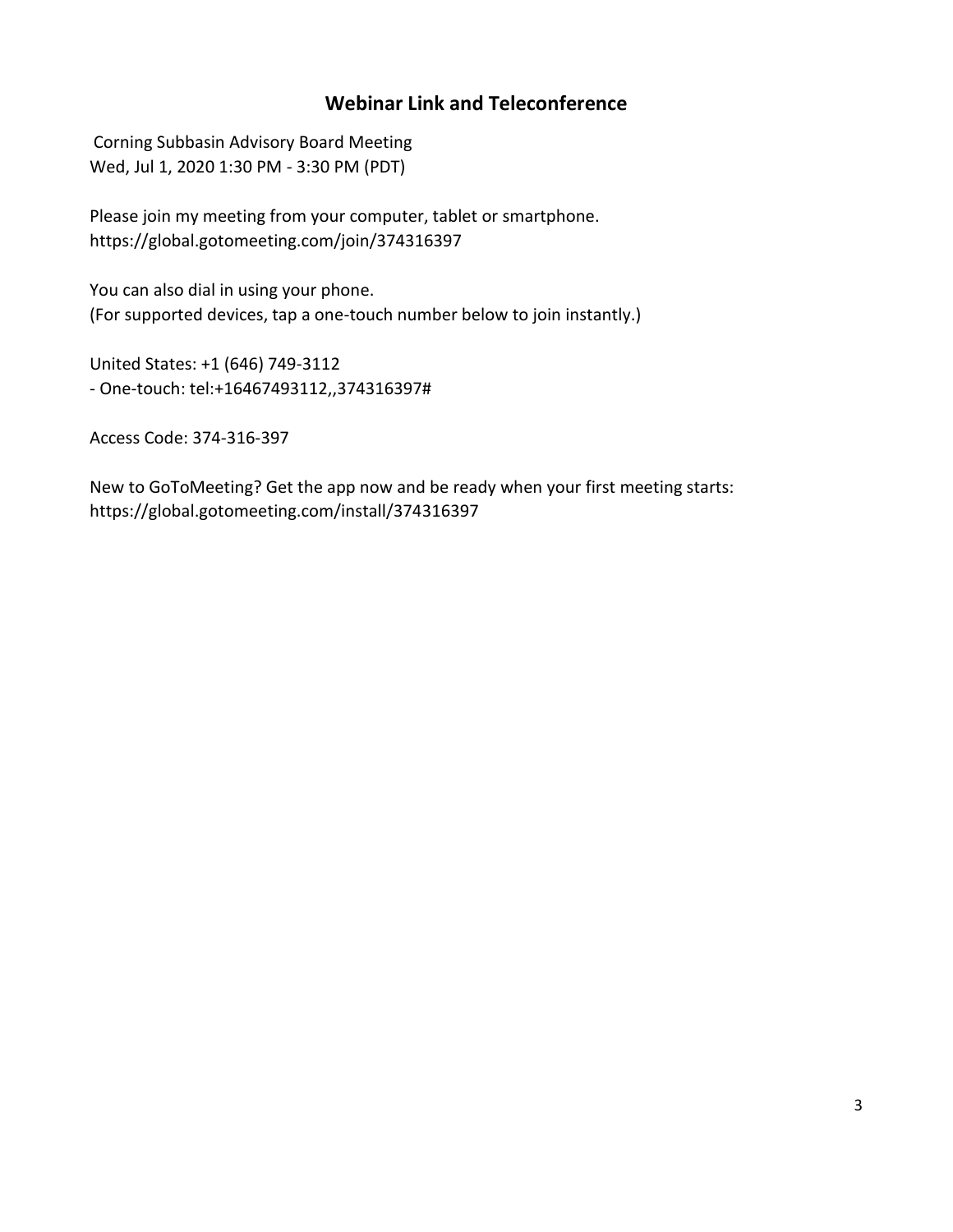### **Webinar Link and Teleconference**

Corning Subbasin Advisory Board Meeting Wed, Jul 1, 2020 1:30 PM - 3:30 PM (PDT)

Please join my meeting from your computer, tablet or smartphone. https://global.gotomeeting.com/join/374316397

You can also dial in using your phone. (For supported devices, tap a one-touch number below to join instantly.)

United States: +1 (646) 749-3112 - One-touch: tel:+16467493112,,374316397#

Access Code: 374-316-397

New to GoToMeeting? Get the app now and be ready when your first meeting starts: https://global.gotomeeting.com/install/374316397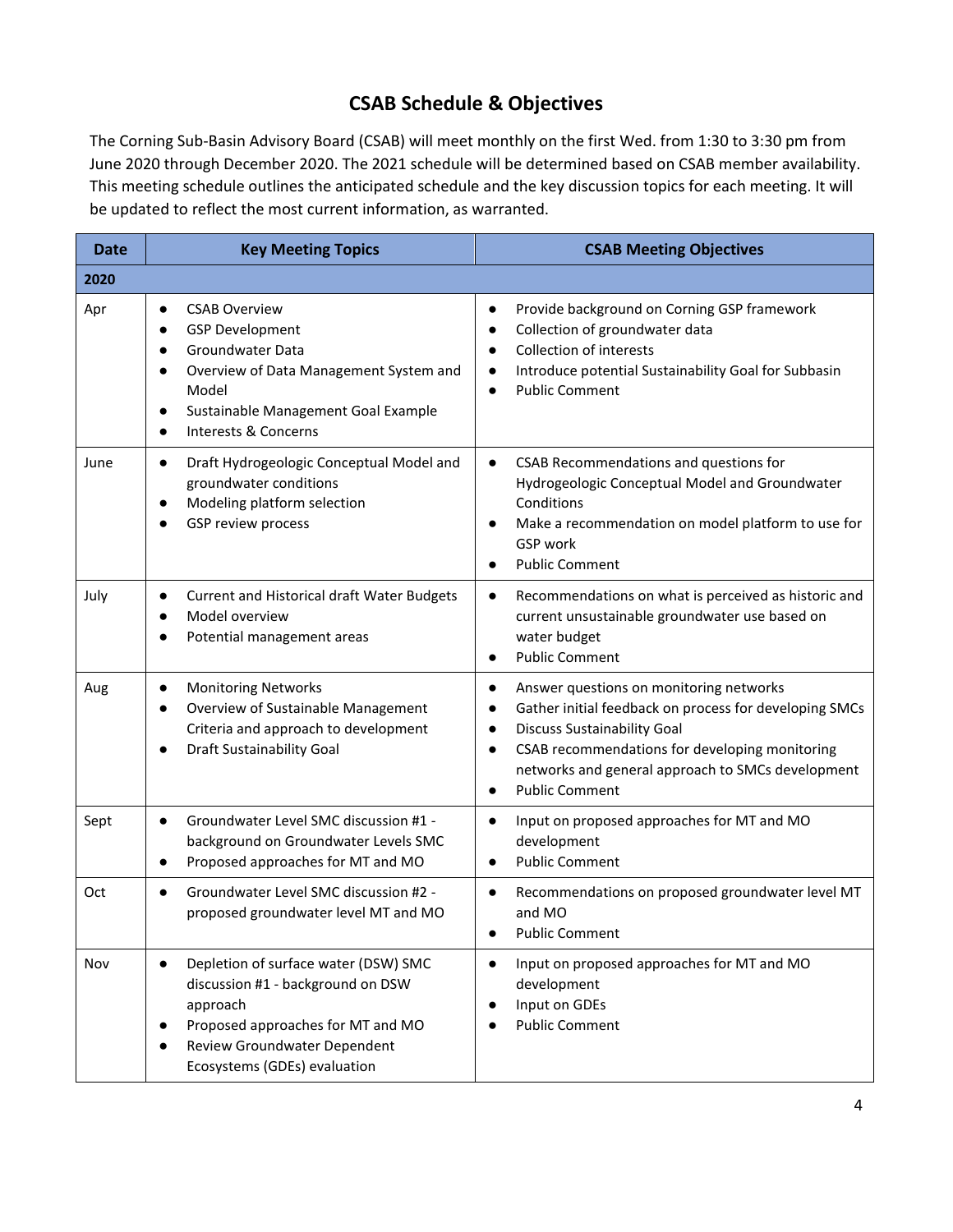# **CSAB Schedule & Objectives**

The Corning Sub-Basin Advisory Board (CSAB) will meet monthly on the first Wed. from 1:30 to 3:30 pm from June 2020 through December 2020. The 2021 schedule will be determined based on CSAB member availability. This meeting schedule outlines the anticipated schedule and the key discussion topics for each meeting. It will be updated to reflect the most current information, as warranted.

| <b>Date</b> | <b>Key Meeting Topics</b>                                                                                                                                                                                                                                          | <b>CSAB Meeting Objectives</b>                                                                                                                                                                                                                                                                                                           |  |
|-------------|--------------------------------------------------------------------------------------------------------------------------------------------------------------------------------------------------------------------------------------------------------------------|------------------------------------------------------------------------------------------------------------------------------------------------------------------------------------------------------------------------------------------------------------------------------------------------------------------------------------------|--|
| 2020        |                                                                                                                                                                                                                                                                    |                                                                                                                                                                                                                                                                                                                                          |  |
| Apr         | <b>CSAB Overview</b><br>$\bullet$<br><b>GSP Development</b><br>$\bullet$<br>Groundwater Data<br>$\bullet$<br>Overview of Data Management System and<br>$\bullet$<br>Model<br>Sustainable Management Goal Example<br>$\bullet$<br>Interests & Concerns<br>$\bullet$ | Provide background on Corning GSP framework<br>$\bullet$<br>Collection of groundwater data<br>$\bullet$<br><b>Collection of interests</b><br>$\bullet$<br>Introduce potential Sustainability Goal for Subbasin<br>$\bullet$<br><b>Public Comment</b><br>$\bullet$                                                                        |  |
| June        | Draft Hydrogeologic Conceptual Model and<br>$\bullet$<br>groundwater conditions<br>Modeling platform selection<br>$\bullet$<br>GSP review process                                                                                                                  | CSAB Recommendations and questions for<br>$\bullet$<br>Hydrogeologic Conceptual Model and Groundwater<br>Conditions<br>Make a recommendation on model platform to use for<br>GSP work<br><b>Public Comment</b><br>$\bullet$                                                                                                              |  |
| July        | <b>Current and Historical draft Water Budgets</b><br>$\bullet$<br>Model overview<br>$\bullet$<br>Potential management areas                                                                                                                                        | Recommendations on what is perceived as historic and<br>$\bullet$<br>current unsustainable groundwater use based on<br>water budget<br><b>Public Comment</b><br>$\bullet$                                                                                                                                                                |  |
| Aug         | <b>Monitoring Networks</b><br>$\bullet$<br>Overview of Sustainable Management<br>$\bullet$<br>Criteria and approach to development<br>Draft Sustainability Goal<br>$\bullet$                                                                                       | Answer questions on monitoring networks<br>$\bullet$<br>Gather initial feedback on process for developing SMCs<br>$\bullet$<br><b>Discuss Sustainability Goal</b><br>$\bullet$<br>CSAB recommendations for developing monitoring<br>$\bullet$<br>networks and general approach to SMCs development<br><b>Public Comment</b><br>$\bullet$ |  |
| Sept        | Groundwater Level SMC discussion #1 -<br>$\bullet$<br>background on Groundwater Levels SMC<br>Proposed approaches for MT and MO<br>$\bullet$                                                                                                                       | Input on proposed approaches for MT and MO<br>$\bullet$<br>development<br><b>Public Comment</b><br>$\bullet$                                                                                                                                                                                                                             |  |
| Oct         | Groundwater Level SMC discussion #2 -<br>$\bullet$<br>proposed groundwater level MT and MO                                                                                                                                                                         | Recommendations on proposed groundwater level MT<br>$\bullet$<br>and MO<br><b>Public Comment</b>                                                                                                                                                                                                                                         |  |
| Nov         | Depletion of surface water (DSW) SMC<br>$\bullet$<br>discussion #1 - background on DSW<br>approach<br>Proposed approaches for MT and MO<br>Review Groundwater Dependent<br>Ecosystems (GDEs) evaluation                                                            | Input on proposed approaches for MT and MO<br>$\bullet$<br>development<br>Input on GDEs<br>$\bullet$<br><b>Public Comment</b>                                                                                                                                                                                                            |  |